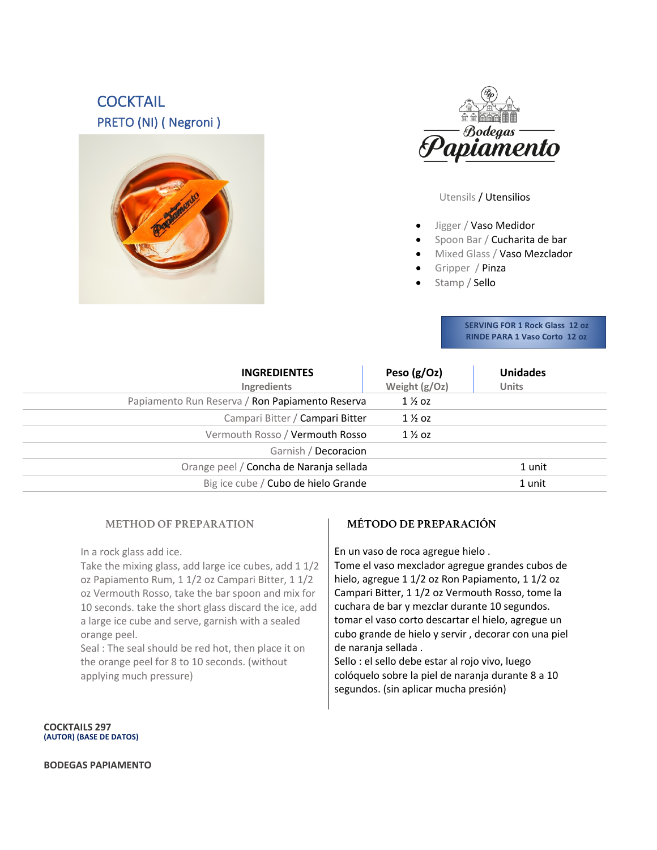# **COCKTAIL** PRETO (NI) ( Negroni )





Utensils / Utensilios

- Jigger / Vaso Medidor
- Spoon Bar / Cucharita de bar
- Mixed Glass / Vaso Mezclador
- Gripper / Pinza
- Stamp / Sello

 **SERVING FOR 1 Rock Glass 12 oz RINDE PARA 1 Vaso Corto 12 oz** 

| <b>INGREDIENTES</b><br><b>Ingredients</b>       | Peso $(g/Oz)$<br>Weight (g/Oz) | <b>Unidades</b><br><b>Units</b> |
|-------------------------------------------------|--------------------------------|---------------------------------|
| Papiamento Run Reserva / Ron Papiamento Reserva | $1\%$ oz                       |                                 |
| Campari Bitter / Campari Bitter                 | $1\%$ oz                       |                                 |
| Vermouth Rosso / Vermouth Rosso                 | $1\%$ oz                       |                                 |
| Garnish / Decoracion                            |                                |                                 |
| Orange peel / Concha de Naranja sellada         |                                | 1 unit                          |
| Big ice cube / Cubo de hielo Grande             |                                | 1 unit                          |
|                                                 |                                |                                 |

### **METHOD OF PREPARATION**

In a rock glass add ice.

Take the mixing glass, add large ice cubes, add 1 1/2 oz Papiamento Rum, 1 1/2 oz Campari Bitter, 1 1/2 oz Vermouth Rosso, take the bar spoon and mix for 10 seconds. take the short glass discard the ice, add a large ice cube and serve, garnish with a sealed orange peel.

Seal : The seal should be red hot, then place it on the orange peel for 8 to 10 seconds. (without applying much pressure)

### **MÉTODO DE PREPARACIÓN**

En un vaso de roca agregue hielo .

Tome el vaso mexclador agregue grandes cubos de hielo, agregue 1 1/2 oz Ron Papiamento, 1 1/2 oz Campari Bitter, 1 1/2 oz Vermouth Rosso, tome la cuchara de bar y mezclar durante 10 segundos. tomar el vaso corto descartar el hielo, agregue un cubo grande de hielo y servir , decorar con una piel de naranja sellada .

Sello : el sello debe estar al rojo vivo, luego colóquelo sobre la piel de naranja durante 8 a 10 segundos. (sin aplicar mucha presión)

**COCKTAILS 297 (AUTOR) (BASE DE DATOS)**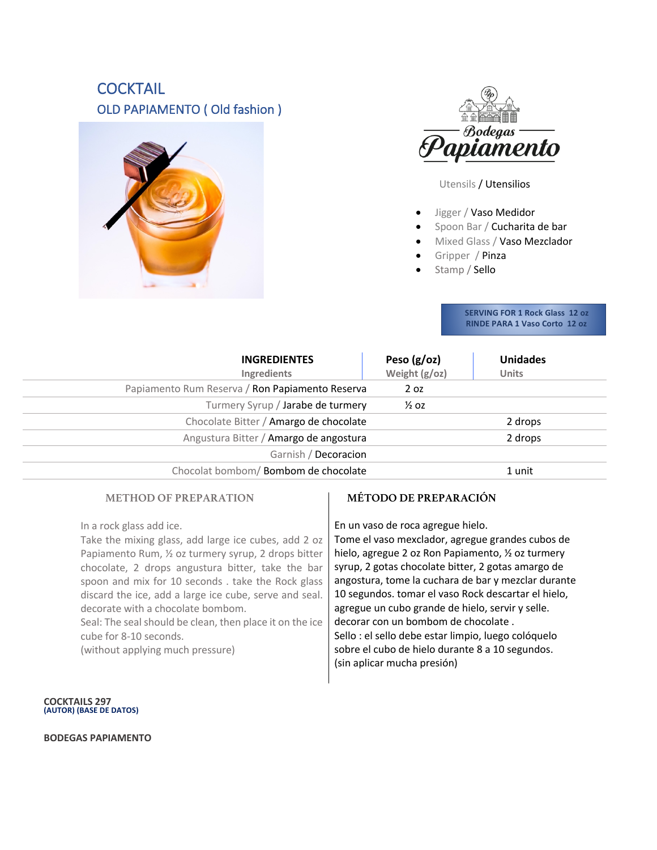# **COCKTAIL** OLD PAPIAMENTO ( Old fashion )





Utensils / Utensilios

- Jigger / Vaso Medidor
- Spoon Bar / Cucharita de bar
- Mixed Glass / Vaso Mezclador
- Gripper / Pinza
- Stamp / Sello

 **SERVING FOR 1 Rock Glass 12 oz RINDE PARA 1 Vaso Corto 12 oz** 

| <b>INGREDIENTES</b><br>Ingredients              | Peso $(g/oz)$<br>Weight $(g/oz)$ | <b>Unidades</b><br><b>Units</b> |
|-------------------------------------------------|----------------------------------|---------------------------------|
| Papiamento Rum Reserva / Ron Papiamento Reserva | 2 <sub>oz</sub>                  |                                 |
| Turmery Syrup / Jarabe de turmery               | $\frac{1}{2}$ OZ                 |                                 |
| Chocolate Bitter / Amargo de chocolate          |                                  | 2 drops                         |
| Angustura Bitter / Amargo de angostura          |                                  | 2 drops                         |
| Garnish / Decoracion                            |                                  |                                 |
| Chocolat bombom/Bombom de chocolate             |                                  | 1 unit                          |

### **METHOD OF PREPARATION**

### **MÉTODO DE PREPARACIÓN**

In a rock glass add ice.

Take the mixing glass, add large ice cubes, add 2 oz Papiamento Rum, ½ oz turmery syrup, 2 drops bitter chocolate, 2 drops angustura bitter, take the bar spoon and mix for 10 seconds . take the Rock glass discard the ice, add a large ice cube, serve and seal. decorate with a chocolate bombom.

Seal: The seal should be clean, then place it on the ice cube for 8-10 seconds.

(without applying much pressure)

En un vaso de roca agregue hielo.

Tome el vaso mexclador, agregue grandes cubos de hielo, agregue 2 oz Ron Papiamento, ½ oz turmery syrup, 2 gotas chocolate bitter, 2 gotas amargo de angostura, tome la cuchara de bar y mezclar durante 10 segundos. tomar el vaso Rock descartar el hielo, agregue un cubo grande de hielo, servir y selle. decorar con un bombom de chocolate . Sello : el sello debe estar limpio, luego colóquelo sobre el cubo de hielo durante 8 a 10 segundos. (sin aplicar mucha presión)

**COCKTAILS 297 (AUTOR) (BASE DE DATOS)**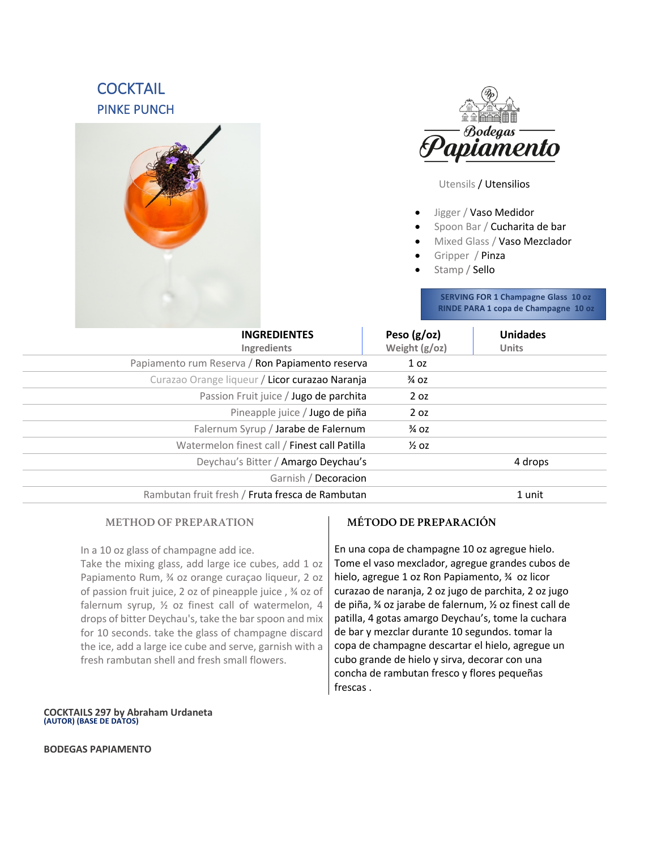# **COCKTAIL** PINKE PUNCH imento Utensils / Utensilios • Jigger / Vaso Medidor • Spoon Bar / Cucharita de bar • Mixed Glass / Vaso Mezclador • Gripper / Pinza • Stamp / Sello **SERVING FOR 1 Champagne Glass 10 oz RINDE PARA 1 copa de Champagne 10 oz**

| <b>INGREDIENTES</b><br>Ingredients              | Peso $(g/oz)$<br>Weight (g/oz) | <b>Unidades</b><br><b>Units</b> |
|-------------------------------------------------|--------------------------------|---------------------------------|
| Papiamento rum Reserva / Ron Papiamento reserva | 1 <sub>oz</sub>                |                                 |
| Curazao Orange liqueur / Licor curazao Naranja  | $\frac{3}{4}$ OZ               |                                 |
| Passion Fruit juice / Jugo de parchita          | 2 <sub>oz</sub>                |                                 |
| Pineapple juice / Jugo de piña                  | 2 oz                           |                                 |
| Falernum Syrup / Jarabe de Falernum             | $\frac{3}{4}$ OZ               |                                 |
| Watermelon finest call / Finest call Patilla    | $\frac{1}{2}$ OZ               |                                 |
| Deychau's Bitter / Amargo Deychau's             |                                | 4 drops                         |
| Garnish / Decoracion                            |                                |                                 |
| Rambutan fruit fresh / Fruta fresca de Rambutan |                                | 1 unit                          |

### **METHOD OF PREPARATION**

In a 10 oz glass of champagne add ice.

Take the mixing glass, add large ice cubes, add 1 oz Papiamento Rum, ¾ oz orange curaçao liqueur, 2 oz of passion fruit juice, 2 oz of pineapple juice , ¾ oz of falernum syrup, ½ oz finest call of watermelon, 4 drops of bitter Deychau's, take the bar spoon and mix for 10 seconds. take the glass of champagne discard the ice, add a large ice cube and serve, garnish with a fresh rambutan shell and fresh small flowers.

### **MÉTODO DE PREPARACIÓN**

En una copa de champagne 10 oz agregue hielo. Tome el vaso mexclador, agregue grandes cubos de hielo, agregue 1 oz Ron Papiamento, ¾ oz licor curazao de naranja, 2 oz jugo de parchita, 2 oz jugo de piña, ¾ oz jarabe de falernum, ½ oz finest call de patilla, 4 gotas amargo Deychau's, tome la cuchara de bar y mezclar durante 10 segundos. tomar la copa de champagne descartar el hielo, agregue un cubo grande de hielo y sirva, decorar con una concha de rambutan fresco y flores pequeñas frescas .

**COCKTAILS 297 by Abraham Urdaneta (AUTOR) (BASE DE DATOS)**